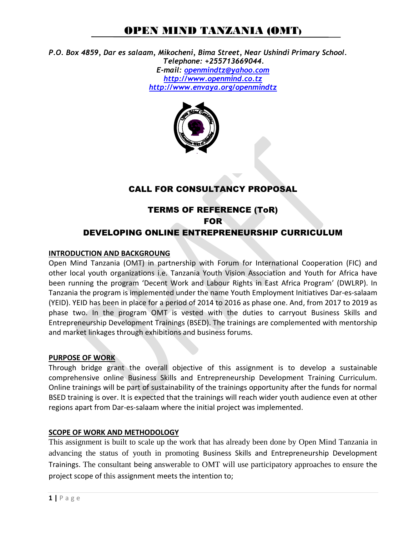### OPEN MIND TANZANIA (OMT)

*P.O. Box 4859, Dar es salaam, Mikocheni, Bima Street, Near Ushindi Primary School. Telephone: +255713669044. E-mail: [openmindtz@yahoo.com](mailto:openmindtz@yahoo.com)  [http://www.openmind.co.tz](http://www.openmind.co.tz/)  <http://www.envaya.org/openmindtz>*



### CALL FOR CONSULTANCY PROPOSAL

### TERMS OF REFERENCE (ToR) FOR DEVELOPING ONLINE ENTREPRENEURSHIP CURRICULUM

#### **INTRODUCTION AND BACKGROUNG**

Open Mind Tanzania (OMT) in partnership with Forum for International Cooperation (FIC) and other local youth organizations i.e. Tanzania Youth Vision Association and Youth for Africa have been running the program 'Decent Work and Labour Rights in East Africa Program' (DWLRP). In Tanzania the program is implemented under the name Youth Employment Initiatives Dar-es-salaam (YEID). YEID has been in place for a period of 2014 to 2016 as phase one. And, from 2017 to 2019 as phase two. In the program OMT is vested with the duties to carryout Business Skills and Entrepreneurship Development Trainings (BSED). The trainings are complemented with mentorship and market linkages through exhibitions and business forums.

#### **PURPOSE OF WORK**

Through bridge grant the overall objective of this assignment is to develop a sustainable comprehensive online Business Skills and Entrepreneurship Development Training Curriculum. Online trainings will be part of sustainability of the trainings opportunity after the funds for normal BSED training is over. It is expected that the trainings will reach wider youth audience even at other regions apart from Dar-es-salaam where the initial project was implemented.

#### **SCOPE OF WORK AND METHODOLOGY**

This assignment is built to scale up the work that has already been done by Open Mind Tanzania in advancing the status of youth in promoting Business Skills and Entrepreneurship Development Trainings. The consultant being answerable to OMT will use participatory approaches to ensure the project scope of this assignment meets the intention to;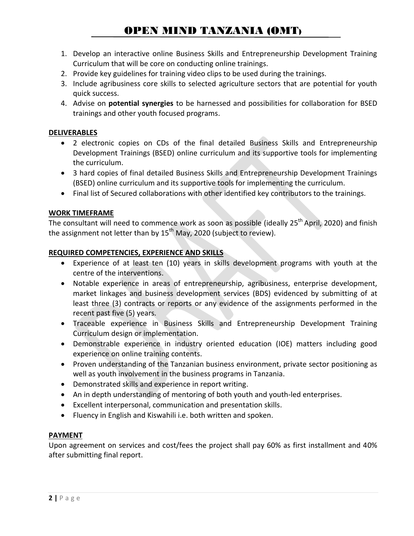# OPEN MIND TANZANIA (OMT)

- 1. Develop an interactive online Business Skills and Entrepreneurship Development Training Curriculum that will be core on conducting online trainings.
- 2. Provide key guidelines for training video clips to be used during the trainings.
- 3. Include agribusiness core skills to selected agriculture sectors that are potential for youth quick success.
- 4. Advise on **potential synergies** to be harnessed and possibilities for collaboration for BSED trainings and other youth focused programs.

#### **DELIVERABLES**

- 2 electronic copies on CDs of the final detailed Business Skills and Entrepreneurship Development Trainings (BSED) online curriculum and its supportive tools for implementing the curriculum.
- 3 hard copies of final detailed Business Skills and Entrepreneurship Development Trainings (BSED) online curriculum and its supportive tools for implementing the curriculum.
- Final list of Secured collaborations with other identified key contributors to the trainings.

#### **WORK TIMEFRAME**

The consultant will need to commence work as soon as possible (ideally 25<sup>th</sup> April, 2020) and finish the assignment not letter than by  $15^{th}$  May, 2020 (subject to review).

#### **REQUIRED COMPETENCIES, EXPERIENCE AND SKILLS**

- Experience of at least ten (10) years in skills development programs with youth at the centre of the interventions.
- Notable experience in areas of entrepreneurship, agribusiness, enterprise development, market linkages and business development services (BDS) evidenced by submitting of at least three (3) contracts or reports or any evidence of the assignments performed in the recent past five (5) years.
- Traceable experience in Business Skills and Entrepreneurship Development Training Curriculum design or implementation.
- Demonstrable experience in industry oriented education (IOE) matters including good experience on online training contents.
- Proven understanding of the Tanzanian business environment, private sector positioning as well as youth involvement in the business programs in Tanzania.
- Demonstrated skills and experience in report writing.
- An in depth understanding of mentoring of both youth and youth-led enterprises.
- Excellent interpersonal, communication and presentation skills.
- Fluency in English and Kiswahili i.e. both written and spoken.

#### **PAYMENT**

Upon agreement on services and cost/fees the project shall pay 60% as first installment and 40% after submitting final report.